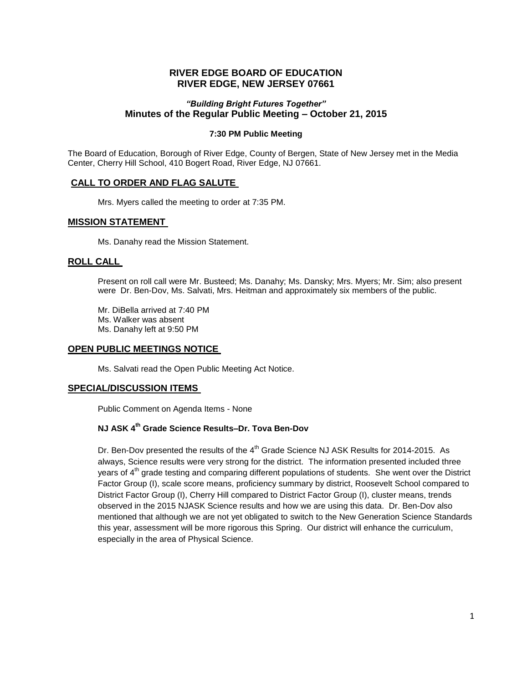# **RIVER EDGE BOARD OF EDUCATION RIVER EDGE, NEW JERSEY 07661**

### *"Building Bright Futures Together"* **Minutes of the Regular Public Meeting – October 21, 2015**

#### **7:30 PM Public Meeting**

The Board of Education, Borough of River Edge, County of Bergen, State of New Jersey met in the Media Center, Cherry Hill School, 410 Bogert Road, River Edge, NJ 07661.

### **CALL TO ORDER AND FLAG SALUTE**

Mrs. Myers called the meeting to order at 7:35 PM.

#### **MISSION STATEMENT**

Ms. Danahy read the Mission Statement.

#### **ROLL CALL**

Present on roll call were Mr. Busteed; Ms. Danahy; Ms. Dansky; Mrs. Myers; Mr. Sim; also present were Dr. Ben-Dov, Ms. Salvati, Mrs. Heitman and approximately six members of the public.

Mr. DiBella arrived at 7:40 PM Ms. Walker was absent Ms. Danahy left at 9:50 PM

#### **OPEN PUBLIC MEETINGS NOTICE**

Ms. Salvati read the Open Public Meeting Act Notice.

#### **SPECIAL/DISCUSSION ITEMS**

Public Comment on Agenda Items - None

# **NJ ASK 4th Grade Science Results–Dr. Tova Ben-Dov**

Dr. Ben-Dov presented the results of the 4<sup>th</sup> Grade Science NJ ASK Results for 2014-2015. As always, Science results were very strong for the district. The information presented included three years of 4<sup>th</sup> grade testing and comparing different populations of students. She went over the District Factor Group (I), scale score means, proficiency summary by district, Roosevelt School compared to District Factor Group (I), Cherry Hill compared to District Factor Group (I), cluster means, trends observed in the 2015 NJASK Science results and how we are using this data. Dr. Ben-Dov also mentioned that although we are not yet obligated to switch to the New Generation Science Standards this year, assessment will be more rigorous this Spring. Our district will enhance the curriculum, especially in the area of Physical Science.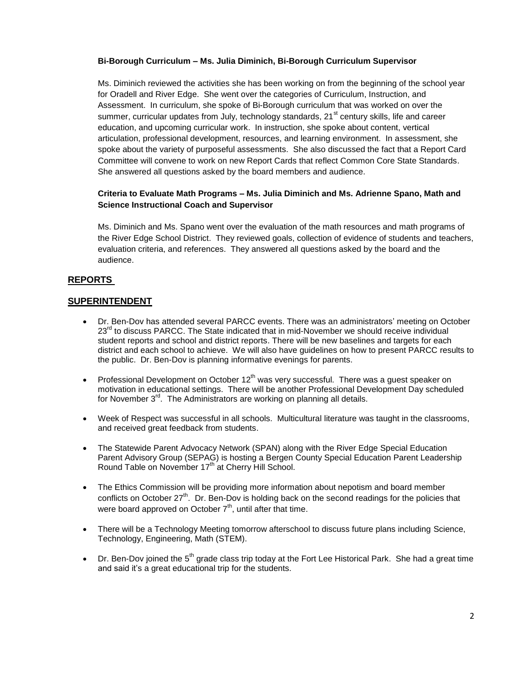#### **Bi-Borough Curriculum – Ms. Julia Diminich, Bi-Borough Curriculum Supervisor**

Ms. Diminich reviewed the activities she has been working on from the beginning of the school year for Oradell and River Edge. She went over the categories of Curriculum, Instruction, and Assessment. In curriculum, she spoke of Bi-Borough curriculum that was worked on over the summer, curricular updates from July, technology standards, 21<sup>st</sup> century skills, life and career education, and upcoming curricular work. In instruction, she spoke about content, vertical articulation, professional development, resources, and learning environment. In assessment, she spoke about the variety of purposeful assessments. She also discussed the fact that a Report Card Committee will convene to work on new Report Cards that reflect Common Core State Standards. She answered all questions asked by the board members and audience.

### **Criteria to Evaluate Math Programs – Ms. Julia Diminich and Ms. Adrienne Spano, Math and Science Instructional Coach and Supervisor**

Ms. Diminich and Ms. Spano went over the evaluation of the math resources and math programs of the River Edge School District. They reviewed goals, collection of evidence of students and teachers, evaluation criteria, and references. They answered all questions asked by the board and the audience.

# **REPORTS**

### **SUPERINTENDENT**

- Dr. Ben-Dov has attended several PARCC events. There was an administrators' meeting on October 23<sup>rd</sup> to discuss PARCC. The State indicated that in mid-November we should receive individual student reports and school and district reports. There will be new baselines and targets for each district and each school to achieve. We will also have guidelines on how to present PARCC results to the public. Dr. Ben-Dov is planning informative evenings for parents.
- Professional Development on October  $12<sup>th</sup>$  was very successful. There was a guest speaker on motivation in educational settings. There will be another Professional Development Day scheduled for November  $3<sup>rd</sup>$ . The Administrators are working on planning all details.
- Week of Respect was successful in all schools. Multicultural literature was taught in the classrooms, and received great feedback from students.
- The Statewide Parent Advocacy Network (SPAN) along with the River Edge Special Education Parent Advisory Group (SEPAG) is hosting a Bergen County Special Education Parent Leadership Round Table on November 17<sup>th</sup> at Cherry Hill School.
- The Ethics Commission will be providing more information about nepotism and board member conflicts on October  $27<sup>th</sup>$ . Dr. Ben-Dov is holding back on the second readings for the policies that were board approved on October  $7<sup>th</sup>$ , until after that time.
- There will be a Technology Meeting tomorrow afterschool to discuss future plans including Science, Technology, Engineering, Math (STEM).
- Dr. Ben-Dov joined the  $5<sup>th</sup>$  grade class trip today at the Fort Lee Historical Park. She had a great time and said it's a great educational trip for the students.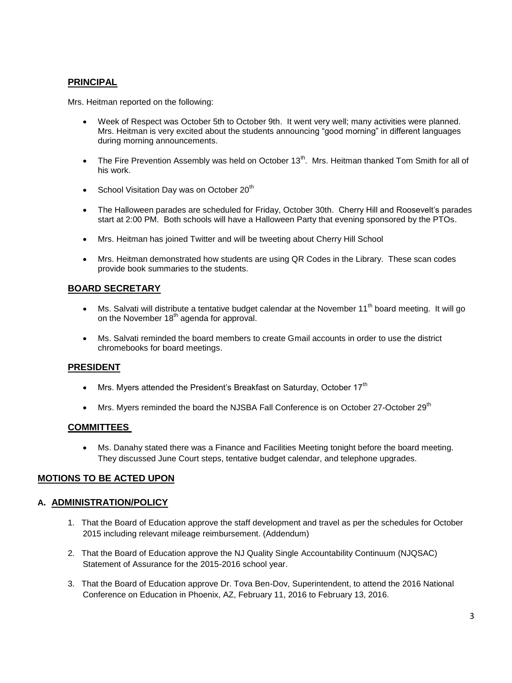# **PRINCIPAL**

Mrs. Heitman reported on the following:

- Week of Respect was October 5th to October 9th. It went very well; many activities were planned. Mrs. Heitman is very excited about the students announcing "good morning" in different languages during morning announcements.
- The Fire Prevention Assembly was held on October 13<sup>th</sup>. Mrs. Heitman thanked Tom Smith for all of his work.
- School Visitation Day was on October  $20<sup>th</sup>$
- The Halloween parades are scheduled for Friday, October 30th. Cherry Hill and Roosevelt's parades start at 2:00 PM. Both schools will have a Halloween Party that evening sponsored by the PTOs.
- Mrs. Heitman has joined Twitter and will be tweeting about Cherry Hill School
- Mrs. Heitman demonstrated how students are using QR Codes in the Library. These scan codes provide book summaries to the students.

# **BOARD SECRETARY**

- Ms. Salvati will distribute a tentative budget calendar at the November 11<sup>th</sup> board meeting. It will go on the November  $18<sup>th</sup>$  agenda for approval.
- Ms. Salvati reminded the board members to create Gmail accounts in order to use the district chromebooks for board meetings.

### **PRESIDENT**

- $\bullet$  Mrs. Myers attended the President's Breakfast on Saturday, October 17<sup>th</sup>
- Mrs. Myers reminded the board the NJSBA Fall Conference is on October 27-October 29<sup>th</sup>

#### **COMMITTEES**

 Ms. Danahy stated there was a Finance and Facilities Meeting tonight before the board meeting. They discussed June Court steps, tentative budget calendar, and telephone upgrades.

### **MOTIONS TO BE ACTED UPON**

### **A. ADMINISTRATION/POLICY**

- 1. That the Board of Education approve the staff development and travel as per the schedules for October 2015 including relevant mileage reimbursement. (Addendum)
- 2. That the Board of Education approve the NJ Quality Single Accountability Continuum (NJQSAC) Statement of Assurance for the 2015-2016 school year.
- 3. That the Board of Education approve Dr. Tova Ben-Dov, Superintendent, to attend the 2016 National Conference on Education in Phoenix, AZ, February 11, 2016 to February 13, 2016.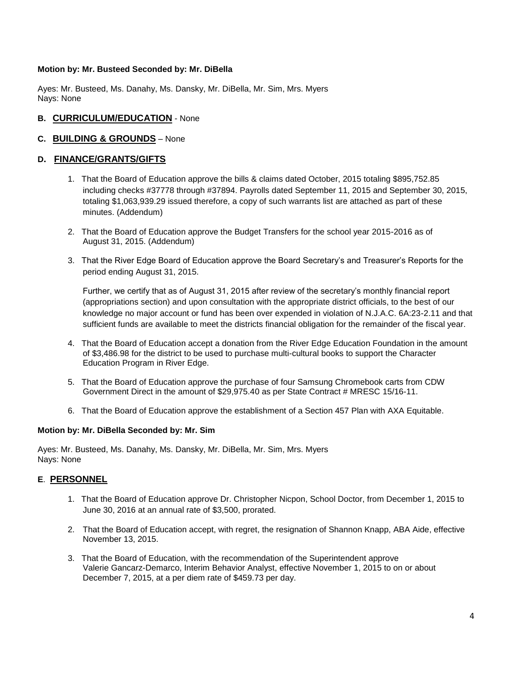#### **Motion by: Mr. Busteed Seconded by: Mr. DiBella**

Ayes: Mr. Busteed, Ms. Danahy, Ms. Dansky, Mr. DiBella, Mr. Sim, Mrs. Myers Nays: None

### **B. CURRICULUM/EDUCATION** - None

### **C. BUILDING & GROUNDS** – None

#### **D. FINANCE/GRANTS/GIFTS**

- 1. That the Board of Education approve the bills & claims dated October, 2015 totaling \$895,752.85 including checks #37778 through #37894. Payrolls dated September 11, 2015 and September 30, 2015, totaling \$1,063,939.29 issued therefore, a copy of such warrants list are attached as part of these minutes. (Addendum)
- 2. That the Board of Education approve the Budget Transfers for the school year 2015-2016 as of August 31, 2015. (Addendum)
- 3. That the River Edge Board of Education approve the Board Secretary's and Treasurer's Reports for the period ending August 31, 2015.

Further, we certify that as of August 31, 2015 after review of the secretary's monthly financial report (appropriations section) and upon consultation with the appropriate district officials, to the best of our knowledge no major account or fund has been over expended in violation of N.J.A.C. 6A:23-2.11 and that sufficient funds are available to meet the districts financial obligation for the remainder of the fiscal year.

- 4. That the Board of Education accept a donation from the River Edge Education Foundation in the amount of \$3,486.98 for the district to be used to purchase multi-cultural books to support the Character Education Program in River Edge.
- 5. That the Board of Education approve the purchase of four Samsung Chromebook carts from CDW Government Direct in the amount of \$29,975.40 as per State Contract # MRESC 15/16-11.
- 6. That the Board of Education approve the establishment of a Section 457 Plan with AXA Equitable.

#### **Motion by: Mr. DiBella Seconded by: Mr. Sim**

Ayes: Mr. Busteed, Ms. Danahy, Ms. Dansky, Mr. DiBella, Mr. Sim, Mrs. Myers Nays: None

### **E**. **PERSONNEL**

- 1. That the Board of Education approve Dr. Christopher Nicpon, School Doctor, from December 1, 2015 to June 30, 2016 at an annual rate of \$3,500, prorated.
- 2. That the Board of Education accept, with regret, the resignation of Shannon Knapp, ABA Aide, effective November 13, 2015.
- 3. That the Board of Education, with the recommendation of the Superintendent approve Valerie Gancarz-Demarco, Interim Behavior Analyst, effective November 1, 2015 to on or about December 7, 2015, at a per diem rate of \$459.73 per day.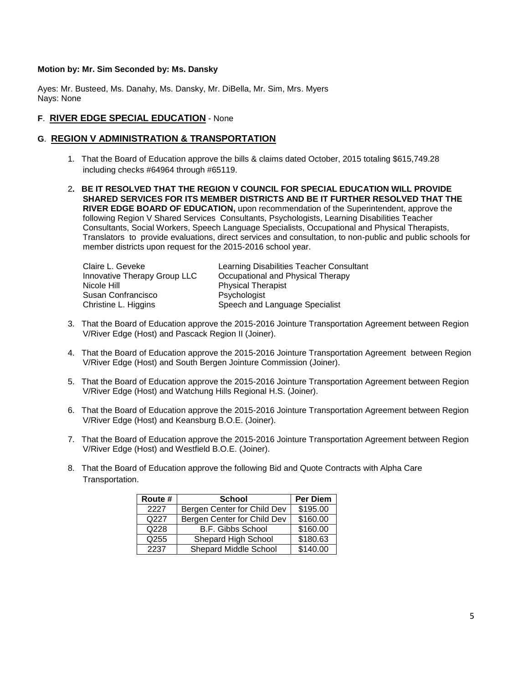#### **Motion by: Mr. Sim Seconded by: Ms. Dansky**

Ayes: Mr. Busteed, Ms. Danahy, Ms. Dansky, Mr. DiBella, Mr. Sim, Mrs. Myers Nays: None

# **F**. **RIVER EDGE SPECIAL EDUCATION** - None

# **G**. **REGION V ADMINISTRATION & TRANSPORTATION**

- 1. That the Board of Education approve the bills & claims dated October, 2015 totaling \$615,749.28 including checks #64964 through #65119.
- 2**. BE IT RESOLVED THAT THE REGION V COUNCIL FOR SPECIAL EDUCATION WILL PROVIDE SHARED SERVICES FOR ITS MEMBER DISTRICTS AND BE IT FURTHER RESOLVED THAT THE RIVER EDGE BOARD OF EDUCATION,** upon recommendation of the Superintendent, approve the following Region V Shared Services Consultants, Psychologists, Learning Disabilities Teacher Consultants, Social Workers, Speech Language Specialists, Occupational and Physical Therapists, Translators to provide evaluations, direct services and consultation, to non-public and public schools for member districts upon request for the 2015-2016 school year.

| Claire L. Geveke             | Learning Disabilities Teacher Consultant |
|------------------------------|------------------------------------------|
| Innovative Therapy Group LLC | Occupational and Physical Therapy        |
| Nicole Hill                  | <b>Physical Therapist</b>                |
| Susan Confrancisco           | Psychologist                             |
| Christine L. Higgins         | Speech and Language Specialist           |

- 3. That the Board of Education approve the 2015-2016 Jointure Transportation Agreement between Region V/River Edge (Host) and Pascack Region II (Joiner).
- 4. That the Board of Education approve the 2015-2016 Jointure Transportation Agreement between Region V/River Edge (Host) and South Bergen Jointure Commission (Joiner).
- 5. That the Board of Education approve the 2015-2016 Jointure Transportation Agreement between Region V/River Edge (Host) and Watchung Hills Regional H.S. (Joiner).
- 6. That the Board of Education approve the 2015-2016 Jointure Transportation Agreement between Region V/River Edge (Host) and Keansburg B.O.E. (Joiner).
- 7. That the Board of Education approve the 2015-2016 Jointure Transportation Agreement between Region V/River Edge (Host) and Westfield B.O.E. (Joiner).
- 8. That the Board of Education approve the following Bid and Quote Contracts with Alpha Care Transportation.

| Route # | <b>School</b>               | <b>Per Diem</b> |
|---------|-----------------------------|-----------------|
| 2227    | Bergen Center for Child Dev | \$195.00        |
| Q227    | Bergen Center for Child Dev | \$160.00        |
| Q228    | <b>B.F. Gibbs School</b>    | \$160.00        |
| Q255    | Shepard High School         | \$180.63        |
| 2237    | Shepard Middle School       | \$140.00        |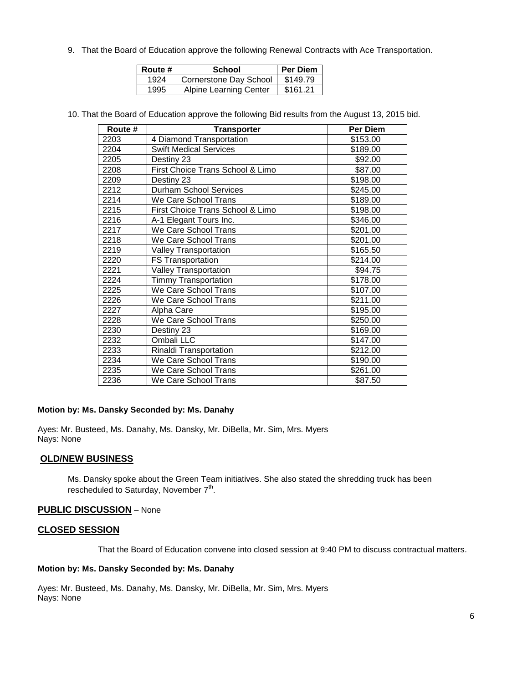9. That the Board of Education approve the following Renewal Contracts with Ace Transportation.

| Route # | School                        | <b>Per Diem</b> |
|---------|-------------------------------|-----------------|
| 1924    | <b>Cornerstone Day School</b> | \$149.79        |
| 1995    | <b>Alpine Learning Center</b> | \$161.21        |

10. That the Board of Education approve the following Bid results from the August 13, 2015 bid.

| Route # | <b>Transporter</b>               | Per Diem |
|---------|----------------------------------|----------|
| 2203    | 4 Diamond Transportation         | \$153.00 |
| 2204    | <b>Swift Medical Services</b>    | \$189.00 |
| 2205    | Destiny 23                       | \$92.00  |
| 2208    | First Choice Trans School & Limo | \$87.00  |
| 2209    | Destiny 23                       | \$198.00 |
| 2212    | <b>Durham School Services</b>    | \$245.00 |
| 2214    | We Care School Trans             | \$189.00 |
| 2215    | First Choice Trans School & Limo | \$198.00 |
| 2216    | A-1 Elegant Tours Inc.           | \$346.00 |
| 2217    | We Care School Trans             | \$201.00 |
| 2218    | We Care School Trans             | \$201.00 |
| 2219    | <b>Valley Transportation</b>     | \$165.50 |
| 2220    | <b>FS Transportation</b>         | \$214.00 |
| 2221    | <b>Valley Transportation</b>     | \$94.75  |
| 2224    | <b>Timmy Transportation</b>      | \$178.00 |
| 2225    | We Care School Trans             | \$107.00 |
| 2226    | We Care School Trans             | \$211.00 |
| 2227    | Alpha Care                       | \$195.00 |
| 2228    | We Care School Trans             | \$250.00 |
| 2230    | Destiny 23                       | \$169.00 |
| 2232    | Ombali LLC                       | \$147.00 |
| 2233    | Rinaldi Transportation           | \$212.00 |
| 2234    | We Care School Trans             | \$190.00 |
| 2235    | We Care School Trans             | \$261.00 |
| 2236    | We Care School Trans             | \$87.50  |

#### **Motion by: Ms. Dansky Seconded by: Ms. Danahy**

Ayes: Mr. Busteed, Ms. Danahy, Ms. Dansky, Mr. DiBella, Mr. Sim, Mrs. Myers Nays: None

### **OLD/NEW BUSINESS**

Ms. Dansky spoke about the Green Team initiatives. She also stated the shredding truck has been rescheduled to Saturday, November 7<sup>th</sup>.

#### **PUBLIC DISCUSSION** – None

#### **CLOSED SESSION**

That the Board of Education convene into closed session at 9:40 PM to discuss contractual matters.

#### **Motion by: Ms. Dansky Seconded by: Ms. Danahy**

Ayes: Mr. Busteed, Ms. Danahy, Ms. Dansky, Mr. DiBella, Mr. Sim, Mrs. Myers Nays: None